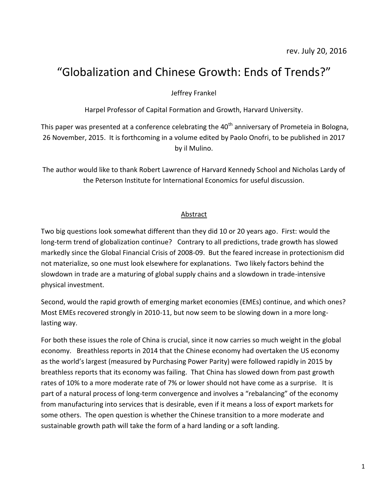# "Globalization and Chinese Growth: Ends of Trends?"

Jeffrey Frankel

Harpel Professor of Capital Formation and Growth, Harvard University.

This paper was presented at a conference celebrating the  $40<sup>th</sup>$  anniversary of Prometeia in Bologna, 26 November, 2015. It is forthcoming in a volume edited by Paolo Onofri, to be published in 2017 by il Mulino.

The author would like to thank Robert Lawrence of Harvard Kennedy School and Nicholas Lardy of the Peterson Institute for International Economics for useful discussion.

#### Abstract

Two big questions look somewhat different than they did 10 or 20 years ago. First: would the long-term trend of globalization continue? Contrary to all predictions, trade growth has slowed markedly since the Global Financial Crisis of 2008-09. But the feared increase in protectionism did not materialize, so one must look elsewhere for explanations. Two likely factors behind the slowdown in trade are a maturing of global supply chains and a slowdown in trade-intensive physical investment.

Second, would the rapid growth of emerging market economies (EMEs) continue, and which ones? Most EMEs recovered strongly in 2010-11, but now seem to be slowing down in a more longlasting way.

For both these issues the role of China is crucial, since it now carries so much weight in the global economy. Breathless reports in 2014 that the Chinese economy had overtaken the US economy as the world's largest (measured by Purchasing Power Parity) were followed rapidly in 2015 by breathless reports that its economy was failing. That China has slowed down from past growth rates of 10% to a more moderate rate of 7% or lower should not have come as a surprise. It is part of a natural process of long-term convergence and involves a "rebalancing" of the economy from manufacturing into services that is desirable, even if it means a loss of export markets for some others. The open question is whether the Chinese transition to a more moderate and sustainable growth path will take the form of a hard landing or a soft landing.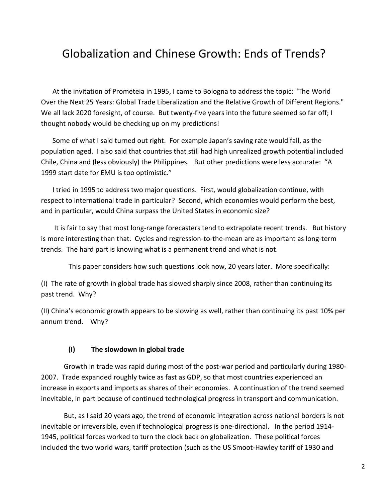## Globalization and Chinese Growth: Ends of Trends?

At the invitation of Prometeia in 1995, I came to Bologna to address the topic: "The World Over the Next 25 Years: Global Trade Liberalization and the Relative Growth of Different Regions." We all lack 2020 foresight, of course. But twenty-five years into the future seemed so far off; I thought nobody would be checking up on my predictions!

Some of what I said turned out right. For example Japan's saving rate would fall, as the population aged. I also said that countries that still had high unrealized growth potential included Chile, China and (less obviously) the Philippines. But other predictions were less accurate: "A 1999 start date for EMU is too optimistic."

I tried in 1995 to address two major questions. First, would globalization continue, with respect to international trade in particular? Second, which economies would perform the best, and in particular, would China surpass the United States in economic size?

It is fair to say that most long-range forecasters tend to extrapolate recent trends. But history is more interesting than that. Cycles and regression-to-the-mean are as important as long-term trends. The hard part is knowing what is a permanent trend and what is not.

This paper considers how such questions look now, 20 years later. More specifically:

(I) The rate of growth in global trade has slowed sharply since 2008, rather than continuing its past trend. Why?

(II) China's economic growth appears to be slowing as well, rather than continuing its past 10% per annum trend. Why?

#### **(I) The slowdown in global trade**

Growth in trade was rapid during most of the post-war period and particularly during 1980- 2007. Trade expanded roughly twice as fast as GDP, so that most countries experienced an increase in exports and imports as shares of their economies. A continuation of the trend seemed inevitable, in part because of continued technological progress in transport and communication.

But, as I said 20 years ago, the trend of economic integration across national borders is not inevitable or irreversible, even if technological progress is one-directional. In the period 1914- 1945, political forces worked to turn the clock back on globalization. These political forces included the two world wars, tariff protection (such as the US Smoot-Hawley tariff of 1930 and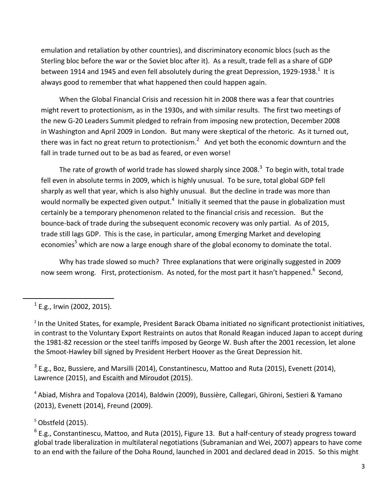emulation and retaliation by other countries), and discriminatory economic blocs (such as the Sterling bloc before the war or the Soviet bloc after it). As a result, trade fell as a share of GDP between 1914 and 1945 and even fell absolutely during the great Depression, 1929-1938. $^{1}$  It is always good to remember that what happened then could happen again.

When the Global Financial Crisis and recession hit in 2008 there was a fear that countries might revert to protectionism, as in the 1930s, and with similar results. The first two meetings of the new G-20 Leaders Summit pledged to refrain from imposing new protection, December 2008 in Washington and April 2009 in London. But many were skeptical of the rhetoric. As it turned out, there was in fact no great return to protectionism.<sup>2</sup> And yet both the economic downturn and the fall in trade turned out to be as bad as feared, or even worse!

The rate of growth of world trade has slowed sharply since 2008. $^3$  To begin with, total trade fell even in absolute terms in 2009, which is highly unusual. To be sure, total global GDP fell sharply as well that year, which is also highly unusual. But the decline in trade was more than would normally be expected given output.<sup>4</sup> Initially it seemed that the pause in globalization must certainly be a temporary phenomenon related to the financial crisis and recession. But the bounce-back of trade during the subsequent economic recovery was only partial. As of 2015, trade still lags GDP. This is the case, in particular, among Emerging Market and developing economies<sup>5</sup> which are now a large enough share of the global economy to dominate the total.

Why has trade slowed so much? Three explanations that were originally suggested in 2009 now seem wrong. First, protectionism. As noted, for the most part it hasn't happened.<sup>6</sup> Second,

 $\overline{\phantom{a}}$ 

 $^3$  E.g., Boz, Bussiere, and Marsilli (2014), Constantinescu, Mattoo and Ruta (2015), Evenett (2014), Lawrence (2015), and Escaith and Miroudot (2015).

<sup>4</sup> Abiad, Mishra and Topalova (2014), Baldwin (2009), Bussière, Callegari, Ghironi, Sestieri & Yamano (2013), Evenett (2014), Freund (2009).

 $5$  Obstfeld (2015).

 $^6$  E.g., Constantinescu, Mattoo, and Ruta (2015), Figure 13. But a half-century of steady progress toward global trade liberalization in multilateral negotiations (Subramanian and Wei, 2007) appears to have come to an end with the failure of the Doha Round, launched in 2001 and declared dead in 2015. So this might

 $^1$  E.g., Irwin (2002, 2015).

<sup>&</sup>lt;sup>2</sup> In the United States, for example, President Barack Obama initiated no significant protectionist initiatives, in contrast to the Voluntary Export Restraints on autos that Ronald Reagan induced Japan to accept during the 1981-82 recession or the steel tariffs imposed by George W. Bush after the 2001 recession, let alone the Smoot-Hawley bill signed by President Herbert Hoover as the Great Depression hit.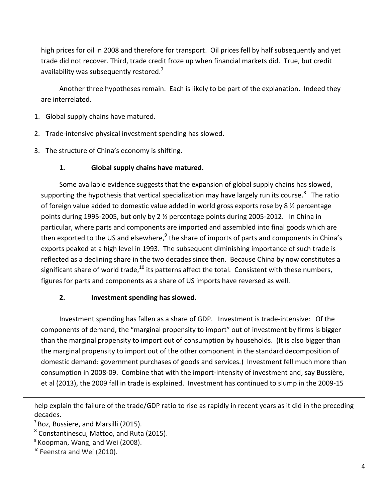high prices for oil in 2008 and therefore for transport. Oil prices fell by half subsequently and yet trade did not recover. Third, trade credit froze up when financial markets did. True, but credit availability was subsequently restored. $<sup>7</sup>$ </sup>

Another three hypotheses remain. Each is likely to be part of the explanation. Indeed they are interrelated.

- 1. Global supply chains have matured.
- 2. Trade-intensive physical investment spending has slowed.
- 3. The structure of China's economy is shifting.

## **1. Global supply chains have matured.**

Some available evidence suggests that the expansion of global supply chains has slowed, supporting the hypothesis that vertical specialization may have largely run its course.<sup>8</sup> The ratio of foreign value added to domestic value added in world gross exports rose by 8 ½ percentage points during 1995-2005, but only by 2  $\frac{1}{2}$  percentage points during 2005-2012. In China in particular, where parts and components are imported and assembled into final goods which are then exported to the US and elsewhere,<sup>9</sup> the share of imports of parts and components in China's exports peaked at a high level in 1993. The subsequent diminishing importance of such trade is reflected as a declining share in the two decades since then. Because China by now constitutes a significant share of world trade,  $^{10}$  its patterns affect the total. Consistent with these numbers, figures for parts and components as a share of US imports have reversed as well.

## **2. Investment spending has slowed.**

Investment spending has fallen as a share of GDP. Investment is trade-intensive: Of the components of demand, the "marginal propensity to import" out of investment by firms is bigger than the marginal propensity to import out of consumption by households. (It is also bigger than the marginal propensity to import out of the other component in the standard decomposition of domestic demand: government purchases of goods and services.) Investment fell much more than consumption in 2008-09. Combine that with the import-intensity of investment and, say Bussière, et al (2013), the 2009 fall in trade is explained. Investment has continued to slump in the 2009-15

help explain the failure of the trade/GDP ratio to rise as rapidly in recent years as it did in the preceding decades.

 $<sup>7</sup>$  Boz, Bussiere, and Marsilli (2015).</sup>

 $^8$  Constantinescu, Mattoo, and Ruta (2015).

<sup>9</sup> Koopman, Wang, and Wei (2008).

<sup>&</sup>lt;sup>10</sup> Feenstra and Wei (2010).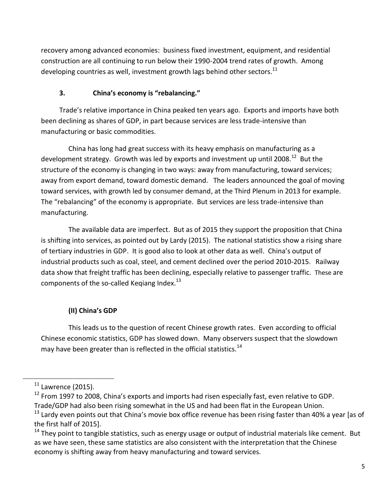recovery among advanced economies: business fixed investment, equipment, and residential construction are all continuing to run below their 1990-2004 trend rates of growth. Among developing countries as well, investment growth lags behind other sectors. $^{11}$ 

## **3. China's economy is "rebalancing."**

Trade's relative importance in China peaked ten years ago. Exports and imports have both been declining as shares of GDP, in part because services are less trade-intensive than manufacturing or basic commodities.

China has long had great success with its heavy emphasis on manufacturing as a development strategy. Growth was led by exports and investment up until 2008.<sup>12</sup> But the structure of the economy is changing in two ways: away from manufacturing, toward services; away from export demand, toward domestic demand. The leaders announced the goal of moving toward services, with growth led by consumer demand, at the Third Plenum in 2013 for example. The "rebalancing" of the economy is appropriate. But services are less trade-intensive than manufacturing.

The available data are imperfect. But as of 2015 they support the proposition that China is shifting into services, as pointed out by Lardy (2015). The national statistics show a rising share of tertiary industries in GDP. It is good also to look at other data as well. China's output of industrial products such as coal, steel, and cement declined over the period 2010-2015. Railway data show that freight traffic has been declining, especially relative to passenger traffic. These are components of the so-called Keqiang Index.<sup>13</sup>

## **(II) China's GDP**

This leads us to the question of recent Chinese growth rates. Even according to official Chinese economic statistics, GDP has slowed down. Many observers suspect that the slowdown may have been greater than is reflected in the official statistics.<sup>14</sup>

 $\overline{\phantom{a}}$ 

 $11$  Lawrence (2015).

<sup>&</sup>lt;sup>12</sup> From 1997 to 2008, China's exports and imports had risen especially fast, even relative to GDP. Trade/GDP had also been rising somewhat in the US and had been flat in the European Union.

<sup>&</sup>lt;sup>13</sup> Lardy even points out that China's movie box office revenue has been rising faster than 40% a year [as of the first half of 2015].

<sup>&</sup>lt;sup>14</sup> They point to tangible statistics, such as energy usage or output of industrial materials like cement. But as we have seen, these same statistics are also consistent with the interpretation that the Chinese economy is shifting away from heavy manufacturing and toward services.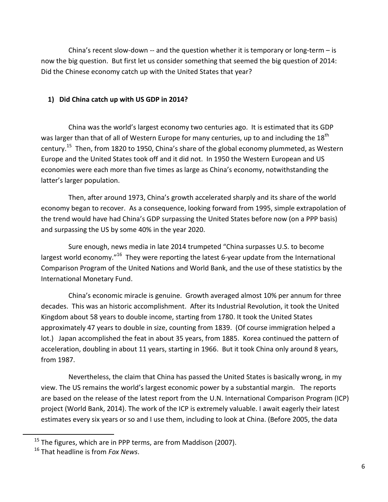China's recent slow-down  $-$  and the question whether it is temporary or long-term  $-$  is now the big question. But first let us consider something that seemed the big question of 2014: Did the Chinese economy catch up with the United States that year?

## **1) Did China catch up with US GDP in 2014?**

China was the world's largest economy two centuries ago. It is estimated that its GDP was larger than that of all of Western Europe for many centuries, up to and including the 18<sup>th</sup> century.<sup>15</sup> Then, from 1820 to 1950, China's share of the global economy plummeted, as Western Europe and the United States took off and it did not. In 1950 the Western European and US economies were each more than five times as large as China's economy, notwithstanding the latter's larger population.

Then, after around 1973, China's growth accelerated sharply and its share of the world economy began to recover. As a consequence, looking forward from 1995, simple extrapolation of the trend would have had China's GDP surpassing the United States before now (on a PPP basis) and surpassing the US by some 40% in the year 2020.

Sure enough, news media in late 2014 trumpeted "China surpasses U.S. to become largest world economy."<sup>16</sup> They were reporting the latest 6-year update from the International Comparison Program of the United Nations and World Bank, and the use of these statistics by the International Monetary Fund.

China's economic miracle is genuine. Growth averaged almost 10% per annum for three decades. This was an historic accomplishment. After its Industrial Revolution, it took the United Kingdom about 58 years to double income, starting from 1780. It took the United States approximately 47 years to double in size, counting from 1839. (Of course immigration helped a lot.) Japan accomplished the feat in about 35 years, from 1885. Korea continued the pattern of acceleration, doubling in about 11 years, starting in 1966. But it took China only around 8 years, from 1987.

Nevertheless, the claim that China has passed the United States is basically wrong, in my view. The US remains the world's largest economic power by a substantial margin. The reports are based on the release of the latest report from the U.N. International Comparison Program (ICP) project (World Bank, 2014). The work of the ICP is extremely valuable. I await eagerly their latest estimates every six years or so and I use them, including to look at China. (Before 2005, the data

 $15$  The figures, which are in PPP terms, are from Maddison (2007).

<sup>16</sup> That headline is from *Fox News*.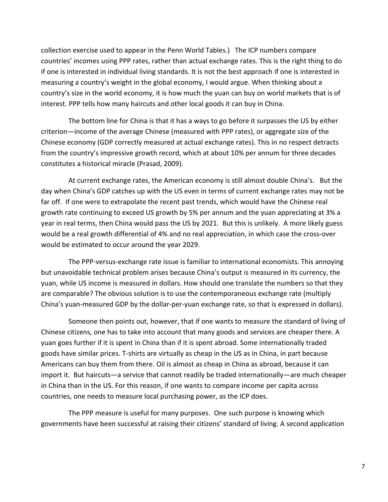collection exercise used to appear in the Penn World Tables.) The ICP numbers compare countries' incomes using PPP rates, rather than actual exchange rates. This is the right thing to do if one is interested in individual living standards. It is not the best approach if one is interested in measuring a country's weight in the global economy, I would argue. When thinking about a country's size in the world economy, it is how much the yuan can buy on world markets that is of interest. PPP tells how many haircuts and other local goods it can buy in China.

The bottom line for China is that it has a ways to go before it surpasses the US by either criterion—income of the average Chinese (measured with PPP rates), or aggregate size of the Chinese economy (GDP correctly measured at actual exchange rates). This in no respect detracts from the country's impressive growth record, which at about 10% per annum for three decades constitutes a historical miracle (Prasad, 2009).

At current exchange rates, the American economy is still almost double China's. But the day when China's GDP catches up with the US even in terms of current exchange rates may not be far off. If one were to extrapolate the recent past trends, which would have the Chinese real growth rate continuing to exceed US growth by 5% per annum and the yuan appreciating at 3% a year in real terms, then China would pass the US by 2021. But this is unlikely. A more likely guess would be a real growth differential of 4% and no real appreciation, in which case the cross-over would be estimated to occur around the year 2029.

The PPP-versus-exchange rate issue is familiar to international economists. This annoying but unavoidable technical problem arises because China's output is measured in its currency, the yuan, while US income is measured in dollars. How should one translate the numbers so that they are comparable? The obvious solution is to use the contemporaneous exchange rate (multiply China's yuan-measured GDP by the dollar-per-yuan exchange rate, so that is expressed in dollars).

Someone then points out, however, that if one wants to measure the standard of living of Chinese citizens, one has to take into account that many goods and services are cheaper there. A yuan goes further if it is spent in China than if it is spent abroad. Some internationally traded goods have similar prices. T-shirts are virtually as cheap in the US as in China, in part because Americans can buy them from there. Oil is almost as cheap in China as abroad, because it can import it. But haircuts—a service that cannot readily be traded internationally—are much cheaper in China than in the US. For this reason, if one wants to compare income per capita across countries, one needs to measure local purchasing power, as the ICP does.

The PPP measure is useful for many purposes. One such purpose is knowing which governments have been successful at raising their citizens' standard of living. A second application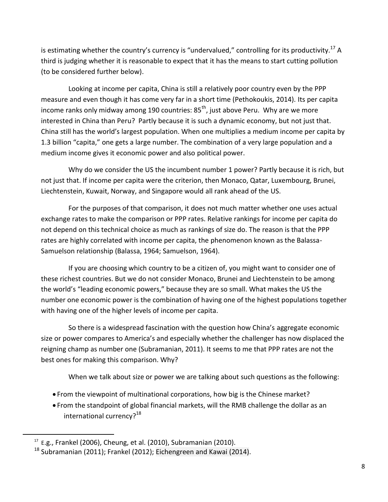is estimating whether the country's currency is "undervalued," controlling for its productivity.<sup>17</sup> A third is judging whether it is reasonable to expect that it has the means to start cutting pollution (to be considered further below).

Looking at income per capita, China is still a relatively poor country even by the PPP measure and even though it has come very far in a short time (Pethokoukis, 2014). Its per capita income ranks only midway among 190 countries:  $85<sup>th</sup>$ , just above Peru. Why are we more interested in China than Peru? Partly because it is such a dynamic economy, but not just that. China still has the world's largest population. When one multiplies a medium income per capita by 1.3 billion "capita," one gets a large number. The combination of a very large population and a medium income gives it economic power and also political power.

Why do we consider the US the incumbent number 1 power? Partly because it is rich, but not just that. If income per capita were the criterion, then Monaco, Qatar, Luxembourg, Brunei, Liechtenstein, Kuwait, Norway, and Singapore would all rank ahead of the US.

For the purposes of that comparison, it does not much matter whether one uses actual exchange rates to make the comparison or PPP rates. Relative rankings for income per capita do not depend on this technical choice as much as rankings of size do. The reason is that the PPP rates are highly correlated with income per capita, the phenomenon known as the Balassa-Samuelson relationship (Balassa, 1964; Samuelson, 1964).

If you are choosing which country to be a citizen of, you might want to consider one of these richest countries. But we do not consider Monaco, Brunei and Liechtenstein to be among the world's "leading economic powers," because they are so small. What makes the US the number one economic power is the combination of having one of the highest populations together with having one of the higher levels of income per capita.

So there is a widespread fascination with the question how China's aggregate economic size or power compares to America's and especially whether the challenger has now displaced the reigning champ as number one (Subramanian, 2011). It seems to me that PPP rates are not the best ones for making this comparison. Why?

When we talk about size or power we are talking about such questions as the following:

- From the viewpoint of multinational corporations, how big is the Chinese market?
- From the standpoint of global financial markets, will the RMB challenge the dollar as an international currency?<sup>18</sup>

 $17$  E.g., Frankel (2006), Cheung, et al. (2010), Subramanian (2010).

 $18$  Subramanian (2011); Frankel (2012); Eichengreen and Kawai (2014).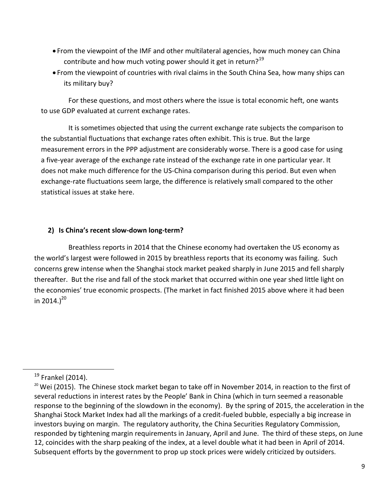- From the viewpoint of the IMF and other multilateral agencies, how much money can China contribute and how much voting power should it get in return?<sup>19</sup>
- From the viewpoint of countries with rival claims in the South China Sea, how many ships can its military buy?

For these questions, and most others where the issue is total economic heft, one wants to use GDP evaluated at current exchange rates.

It is sometimes objected that using the current exchange rate subjects the comparison to the substantial fluctuations that exchange rates often exhibit. This is true. But the large measurement errors in the PPP adjustment are considerably worse. There is a good case for using a five-year average of the exchange rate instead of the exchange rate in one particular year. It does not make much difference for the US-China comparison during this period. But even when exchange-rate fluctuations seem large, the difference is relatively small compared to the other statistical issues at stake here.

### **2) Is China's recent slow-down long-term?**

Breathless reports in 2014 that the Chinese economy had overtaken the US economy as the world's largest were followed in 2015 by breathless reports that its economy was failing. Such concerns grew intense when the Shanghai stock market peaked sharply in June 2015 and fell sharply thereafter. But the rise and fall of the stock market that occurred within one year shed little light on the economies' true economic prospects. (The market in fact finished 2015 above where it had been in 2014.) $^{20}$ 

 $\overline{\phantom{a}}$ 

 $19$  Frankel (2014).

<sup>&</sup>lt;sup>20</sup> Wei (2015). The Chinese stock market began to take off in November 2014, in reaction to the first of several reductions in interest rates by the People' Bank in China (which in turn seemed a reasonable response to the beginning of the slowdown in the economy). By the spring of 2015, the acceleration in the Shanghai Stock Market Index had all the markings of a credit-fueled bubble, especially a big increase in investors buying on margin. The regulatory authority, the China Securities Regulatory Commission, responded by tightening margin requirements in January, April and June. The third of these steps, on June 12, coincides with the sharp peaking of the index, at a level double what it had been in April of 2014. Subsequent efforts by the government to prop up stock prices were widely criticized by outsiders.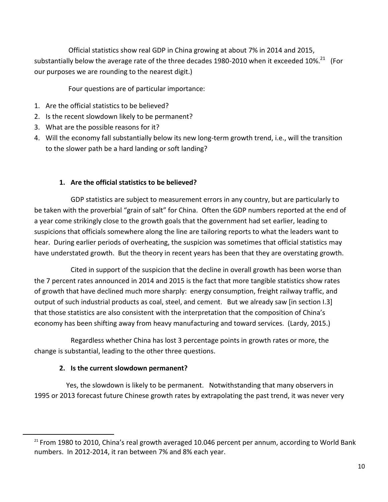Official statistics show real GDP in China growing at about 7% in 2014 and 2015, substantially below the average rate of the three decades 1980-2010 when it exceeded 10%. $^{21}$  (For our purposes we are rounding to the nearest digit.)

Four questions are of particular importance:

- 1. Are the official statistics to be believed?
- 2. Is the recent slowdown likely to be permanent?
- 3. What are the possible reasons for it?
- 4. Will the economy fall substantially below its new long-term growth trend, i.e., will the transition to the slower path be a hard landing or soft landing?

## **1. Are the official statistics to be believed?**

GDP statistics are subject to measurement errors in any country, but are particularly to be taken with the proverbial "grain of salt" for China. Often the GDP numbers reported at the end of a year come strikingly close to the growth goals that the government had set earlier, leading to suspicions that officials somewhere along the line are tailoring reports to what the leaders want to hear. During earlier periods of overheating, the suspicion was sometimes that official statistics may have understated growth. But the theory in recent years has been that they are overstating growth.

Cited in support of the suspicion that the decline in overall growth has been worse than the 7 percent rates announced in 2014 and 2015 is the fact that more tangible statistics show rates of growth that have declined much more sharply: energy consumption, freight railway traffic, and output of such industrial products as coal, steel, and cement. But we already saw [in section I.3] that those statistics are also consistent with the interpretation that the composition of China's economy has been shifting away from heavy manufacturing and toward services. (Lardy, 2015.)

Regardless whether China has lost 3 percentage points in growth rates or more, the change is substantial, leading to the other three questions.

## **2. Is the current slowdown permanent?**

 $\overline{a}$ 

Yes, the slowdown is likely to be permanent. Notwithstanding that many observers in 1995 or 2013 forecast future Chinese growth rates by extrapolating the past trend, it was never very

 $21$  From 1980 to 2010, China's real growth averaged 10.046 percent per annum, according to World Bank numbers. In 2012-2014, it ran between 7% and 8% each year.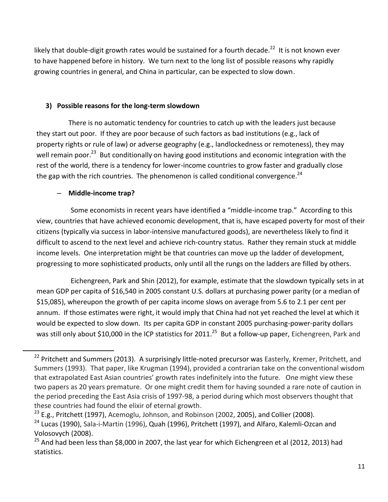likely that double-digit growth rates would be sustained for a fourth decade.<sup>22</sup> It is not known ever to have happened before in history. We turn next to the long list of possible reasons why rapidly growing countries in general, and China in particular, can be expected to slow down.

## **3) Possible reasons for the long-term slowdown**

There is no automatic tendency for countries to catch up with the leaders just because they start out poor. If they are poor because of such factors as bad institutions (e.g., lack of property rights or rule of law) or adverse geography (e.g., landlockedness or remoteness), they may well remain poor.<sup>23</sup> But conditionally on having good institutions and economic integration with the rest of the world, there is a tendency for lower-income countries to grow faster and gradually close the gap with the rich countries. The phenomenon is called conditional convergence. $^{24}$ 

## – **Middle-income trap?**

 $\overline{\phantom{a}}$ 

Some economists in recent years have identified a "middle-income trap." According to this view, countries that have achieved economic development, that is, have escaped poverty for most of their citizens (typically via success in labor-intensive manufactured goods), are nevertheless likely to find it difficult to ascend to the next level and achieve rich-country status. Rather they remain stuck at middle income levels. One interpretation might be that countries can move up the ladder of development, progressing to more sophisticated products, only until all the rungs on the ladders are filled by others.

Eichengreen, Park and Shin (2012), for example, estimate that the slowdown typically sets in at mean GDP per capita of \$16,540 in 2005 constant U.S. dollars at purchasing power parity (or a median of \$15,085), whereupon the growth of per capita income slows on average from 5.6 to 2.1 per cent per annum. If those estimates were right, it would imply that China had not yet reached the level at which it would be expected to slow down. Its per capita GDP in constant 2005 purchasing-power-parity dollars was still only about \$10,000 in the ICP statistics for 2011.<sup>25</sup> But a follow-up paper, Eichengreen, Park and

<sup>&</sup>lt;sup>22</sup> Pritchett and Summers (2013). A surprisingly little-noted precursor was Easterly, Kremer, Pritchett, and Summers (1993). That paper, like Krugman (1994), provided a contrarian take on the conventional wisdom that extrapolated East Asian countries' growth rates indefinitely into the future. One might view these two papers as 20 years premature. Or one might credit them for having sounded a rare note of caution in the period preceding the East Asia crisis of 1997-98, a period during which most observers thought that these countries had found the elixir of eternal growth.

 $23$  E.g., Pritchett (1997), Acemoglu, Johnson, and Robinson (2002, 2005), and Collier (2008).

<sup>&</sup>lt;sup>24</sup> Lucas (1990), Sala-i-Martin (1996), Quah (1996), Pritchett (1997), and Alfaro, Kalemli-Ozcan and Volosovych (2008).

 $25$  And had been less than \$8,000 in 2007, the last year for which Eichengreen et al (2012, 2013) had statistics.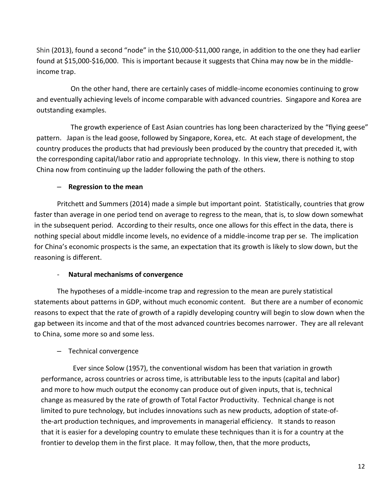Shin (2013), found a second "node" in the \$10,000-\$11,000 range, in addition to the one they had earlier found at \$15,000-\$16,000. This is important because it suggests that China may now be in the middleincome trap.

On the other hand, there are certainly cases of middle-income economies continuing to grow and eventually achieving levels of income comparable with advanced countries. Singapore and Korea are outstanding examples.

The growth experience of East Asian countries has long been characterized by the "flying geese" pattern. Japan is the lead goose, followed by Singapore, Korea, etc. At each stage of development, the country produces the products that had previously been produced by the country that preceded it, with the corresponding capital/labor ratio and appropriate technology. In this view, there is nothing to stop China now from continuing up the ladder following the path of the others.

#### – **Regression to the mean**

Pritchett and Summers (2014) made a simple but important point. Statistically, countries that grow faster than average in one period tend on average to regress to the mean, that is, to slow down somewhat in the subsequent period. According to their results, once one allows for this effect in the data, there is nothing special about middle income levels, no evidence of a middle-income trap per se. The implication for China's economic prospects is the same, an expectation that its growth is likely to slow down, but the reasoning is different.

#### - **Natural mechanisms of convergence**

The hypotheses of a middle-income trap and regression to the mean are purely statistical statements about patterns in GDP, without much economic content. But there are a number of economic reasons to expect that the rate of growth of a rapidly developing country will begin to slow down when the gap between its income and that of the most advanced countries becomes narrower. They are all relevant to China, some more so and some less.

#### – Technical convergence

Ever since Solow (1957), the conventional wisdom has been that variation in growth performance, across countries or across time, is attributable less to the inputs (capital and labor) and more to how much output the economy can produce out of given inputs, that is, technical change as measured by the rate of growth of Total Factor Productivity. Technical change is not limited to pure technology, but includes innovations such as new products, adoption of state-ofthe-art production techniques, and improvements in managerial efficiency. It stands to reason that it is easier for a developing country to emulate these techniques than it is for a country at the frontier to develop them in the first place. It may follow, then, that the more products,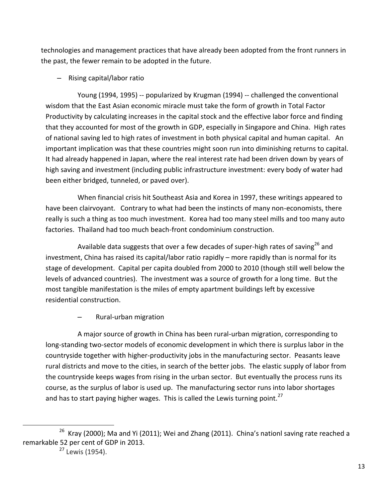technologies and management practices that have already been adopted from the front runners in the past, the fewer remain to be adopted in the future.

– Rising capital/labor ratio

Young (1994, 1995) -- popularized by Krugman (1994) -- challenged the conventional wisdom that the East Asian economic miracle must take the form of growth in Total Factor Productivity by calculating increases in the capital stock and the effective labor force and finding that they accounted for most of the growth in GDP, especially in Singapore and China. High rates of national saving led to high rates of investment in both physical capital and human capital. An important implication was that these countries might soon run into diminishing returns to capital. It had already happened in Japan, where the real interest rate had been driven down by years of high saving and investment (including public infrastructure investment: every body of water had been either bridged, tunneled, or paved over).

When financial crisis hit Southeast Asia and Korea in 1997, these writings appeared to have been clairvoyant. Contrary to what had been the instincts of many non-economists, there really is such a thing as too much investment. Korea had too many steel mills and too many auto factories. Thailand had too much beach-front condominium construction.

Available data suggests that over a few decades of super-high rates of saving<sup>26</sup> and investment, China has raised its capital/labor ratio rapidly – more rapidly than is normal for its stage of development. Capital per capita doubled from 2000 to 2010 (though still well below the levels of advanced countries). The investment was a source of growth for a long time. But the most tangible manifestation is the miles of empty apartment buildings left by excessive residential construction.

– Rural-urban migration

A major source of growth in China has been rural-urban migration, corresponding to long-standing two-sector models of economic development in which there is surplus labor in the countryside together with higher-productivity jobs in the manufacturing sector. Peasants leave rural districts and move to the cities, in search of the better jobs. The elastic supply of labor from the countryside keeps wages from rising in the urban sector. But eventually the process runs its course, as the surplus of labor is used up. The manufacturing sector runs into labor shortages and has to start paying higher wages. This is called the Lewis turning point.<sup>27</sup>

<sup>&</sup>lt;sup>26</sup> Kray (2000); Ma and Yi (2011); Wei and Zhang (2011). China's nationl saving rate reached a remarkable 52 per cent of GDP in 2013.

<sup>&</sup>lt;sup>27</sup> Lewis (1954).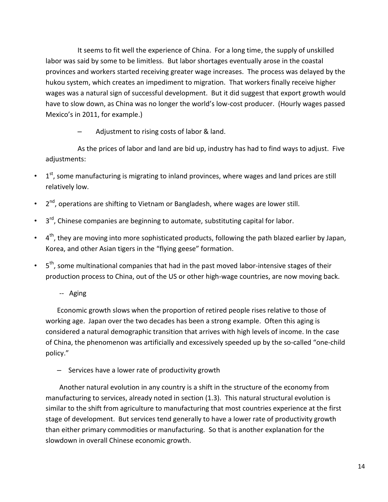It seems to fit well the experience of China. For a long time, the supply of unskilled labor was said by some to be limitless. But labor shortages eventually arose in the coastal provinces and workers started receiving greater wage increases. The process was delayed by the hukou system, which creates an impediment to migration. That workers finally receive higher wages was a natural sign of successful development. But it did suggest that export growth would have to slow down, as China was no longer the world's low-cost producer. (Hourly wages passed Mexico's in 2011, for example.)

– Adjustment to rising costs of labor & land.

As the prices of labor and land are bid up, industry has had to find ways to adjust. Five adjustments:

- $\cdot$  1<sup>st</sup>, some manufacturing is migrating to inland provinces, where wages and land prices are still relatively low.
- $\cdot$  2<sup>nd</sup>, operations are shifting to Vietnam or Bangladesh, where wages are lower still.
- $\cdot$  3<sup>rd</sup>, Chinese companies are beginning to automate, substituting capital for labor.
- $\bullet$  4<sup>th</sup>, they are moving into more sophisticated products, following the path blazed earlier by Japan, Korea, and other Asian tigers in the "flying geese" formation.
- 5 <sup>th</sup>, some multinational companies that had in the past moved labor-intensive stages of their production process to China, out of the US or other high-wage countries, are now moving back.
	- -- Aging

Economic growth slows when the proportion of retired people rises relative to those of working age. Japan over the two decades has been a strong example. Often this aging is considered a natural demographic transition that arrives with high levels of income. In the case of China, the phenomenon was artificially and excessively speeded up by the so-called "one-child policy."

– Services have a lower rate of productivity growth

Another natural evolution in any country is a shift in the structure of the economy from manufacturing to services, already noted in section (1.3). This natural structural evolution is similar to the shift from agriculture to manufacturing that most countries experience at the first stage of development. But services tend generally to have a lower rate of productivity growth than either primary commodities or manufacturing. So that is another explanation for the slowdown in overall Chinese economic growth.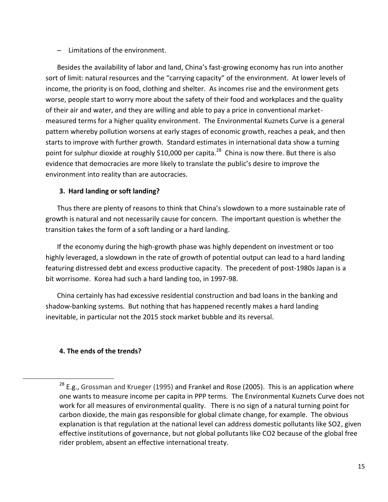#### – Limitations of the environment.

Besides the availability of labor and land, China's fast-growing economy has run into another sort of limit: natural resources and the "carrying capacity" of the environment. At lower levels of income, the priority is on food, clothing and shelter. As incomes rise and the environment gets worse, people start to worry more about the safety of their food and workplaces and the quality of their air and water, and they are willing and able to pay a price in conventional marketmeasured terms for a higher quality environment. The Environmental Kuznets Curve is a general pattern whereby pollution worsens at early stages of economic growth, reaches a peak, and then starts to improve with further growth. Standard estimates in international data show a turning point for sulphur dioxide at roughly \$10,000 per capita.<sup>28</sup> China is now there. But there is also evidence that democracies are more likely to translate the public's desire to improve the environment into reality than are autocracies.

#### **3. Hard landing or soft landing?**

Thus there are plenty of reasons to think that China's slowdown to a more sustainable rate of growth is natural and not necessarily cause for concern. The important question is whether the transition takes the form of a soft landing or a hard landing.

If the economy during the high-growth phase was highly dependent on investment or too highly leveraged, a slowdown in the rate of growth of potential output can lead to a hard landing featuring distressed debt and excess productive capacity. The precedent of post-1980s Japan is a bit worrisome. Korea had such a hard landing too, in 1997-98.

China certainly has had excessive residential construction and bad loans in the banking and shadow-banking systems. But nothing that has happened recently makes a hard landing inevitable, in particular not the 2015 stock market bubble and its reversal.

## **4. The ends of the trends?**

 $\overline{\phantom{a}}$ 

<sup>&</sup>lt;sup>28</sup> E.g., Grossman and Krueger (1995) and Frankel and Rose (2005). This is an application where one wants to measure income per capita in PPP terms. The Environmental Kuznets Curve does not work for all measures of environmental quality. There is no sign of a natural turning point for carbon dioxide, the main gas responsible for global climate change, for example. The obvious explanation is that regulation at the national level can address domestic pollutants like SO2, given effective institutions of governance, but not global pollutants like CO2 because of the global free rider problem, absent an effective international treaty.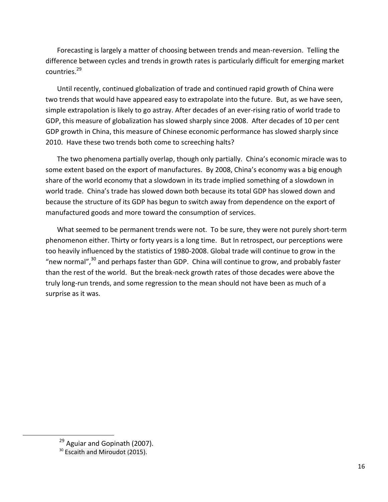Forecasting is largely a matter of choosing between trends and mean-reversion. Telling the difference between cycles and trends in growth rates is particularly difficult for emerging market countries.<sup>29</sup>

Until recently, continued globalization of trade and continued rapid growth of China were two trends that would have appeared easy to extrapolate into the future. But, as we have seen, simple extrapolation is likely to go astray. After decades of an ever-rising ratio of world trade to GDP, this measure of globalization has slowed sharply since 2008. After decades of 10 per cent GDP growth in China, this measure of Chinese economic performance has slowed sharply since 2010. Have these two trends both come to screeching halts?

The two phenomena partially overlap, though only partially. China's economic miracle was to some extent based on the export of manufactures. By 2008, China's economy was a big enough share of the world economy that a slowdown in its trade implied something of a slowdown in world trade. China's trade has slowed down both because its total GDP has slowed down and because the structure of its GDP has begun to switch away from dependence on the export of manufactured goods and more toward the consumption of services.

What seemed to be permanent trends were not. To be sure, they were not purely short-term phenomenon either. Thirty or forty years is a long time. But In retrospect, our perceptions were too heavily influenced by the statistics of 1980-2008. Global trade will continue to grow in the "new normal", $30$  and perhaps faster than GDP. China will continue to grow, and probably faster than the rest of the world. But the break-neck growth rates of those decades were above the truly long-run trends, and some regression to the mean should not have been as much of a surprise as it was.

l

 $29$  Aguiar and Gopinath (2007).

 $30$  Escaith and Miroudot (2015).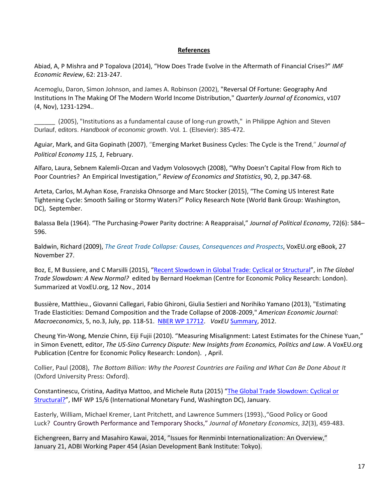#### **References**

Abiad, A, P Mishra and P Topalova (2014), "How Does Trade Evolve in the Aftermath of Financial Crises?" *IMF Economic Review*, 62: 213-247.

Acemoglu, Daron, Simon Johnson, and James A. Robinson (2002), "Reversal Of Fortune: Geography And Institutions In The Making Of The Modern World Income Distribution," *Quarterly Journal of Economics*, v107 (4, Nov), 1231-1294..

\_\_\_\_\_\_ (2005), "Institutions as a fundamental cause of long-run growth," in Philippe Aghion and Steven Durlauf, editors. *Handbook of economic growth*. Vol. 1. (Elsevier): 385-472.

Aguiar, Mark, and Gita Gopinath (2007), "[Emerging Market Business Cycles: The Cycle is the Trend](http://www.economics.harvard.edu/faculty/gopinath/files/cycleisthetrend.pdf)," *Journal of Political Economy 115, 1,* February.

Alfaro, Laura, Sebnem Kalemli-Ozcan and Vadym Volosovych (2008), "Why Doesn't Capital Flow from Rich to Poor Countries? An Empirical Investigation," *Review of Economics and Statistics*, 90, 2, pp.347-68.

Arteta, Carlos, M.Ayhan Kose, Franziska Ohnsorge and Marc Stocker (2015), "The Coming US Interest Rate Tightening Cycle: Smooth Sailing or Stormy Waters?" Policy Research Note (World Bank Group: Washington, DC), September.

Balassa Bela (1964). "The Purchasing-Power Parity doctrine: A Reappraisal," *Journal of Political Economy*, 72(6): 584– 596.

Baldwin, Richard (2009), *The Great Trade Collapse: Causes, [Consequences](http://www.voxeu.org/epubs/cepr-reports/great-trade-collapse-causes-consequences-and-prospects) and Prospects*, VoxEU.org eBook, 27 November 27.

Boz, E, M Bussiere, and C Marsilli (2015), "[Recent Slowdown in Global Trade: Cyclical or Structural](http://www.voxeu.org/article/recent-slowdown-global-trade)", in *The Global Trade Slowdown: A New Normal?* edited by Bernard Hoekman (Centre for Economic Policy Research: London). Summarized at VoxEU.org, 12 Nov., 2014

Bussière, Matthieu., Giovanni Callegari, Fabio Ghironi, Giulia Sestieri and Norihiko Yamano (2013), "Estimating Trade Elasticities: Demand Composition and the Trade Collapse of 2008-2009," *American Economic Journal: Macroeconomics*, 5, no.3, July, pp. 118-51. [NBER WP 17712.](http://www.nber.org/papers/w17712) *VoxEU* [Summary,](http://www.voxeu.org/article/understanding-great-trade-collapse-2009) 2012.

Cheung Yin-Wong, Menzie Chinn, Eiji Fujii (2010). "Measuring Misalignment: Latest Estimates for the Chinese Yuan," in Simon Evenett, editor, *The US-Sino Currency Dispute: New Insights from Economics, Politics and Law*. A VoxEU.org Publication (Centre for Economic Policy Research: London). , April.

Collier, Paul (2008), *The Bottom Billion: Why the Poorest Countries are Failing and What Can Be Done About It* (Oxford University Press: Oxford).

Constantinescu, Cristina, Aaditya Mattoo, and Michele Ruta (2015) "[The Global Trade Slowdown: Cyclical or](http://go.worldbank.org/ID0E15NB50)  [Structural?](http://go.worldbank.org/ID0E15NB50)", IMF WP 15/6 (International Monetary Fund, Washington DC), January.

Easterly, William, Michael Kremer, Lant Pritchett, and Lawrence Summers (1993).,"Good Policy or Good Luck? Country Growth Performance and Temporary Shocks," *Journal of Monetary Economics*, *32*(3), 459-483.

Eichengreen, Barry and Masahiro Kawai, 2014, "Issues for Renminbi Internationalization: An Overview," January 21, ADBI Working Paper 454 (Asian Development Bank Institute: Tokyo).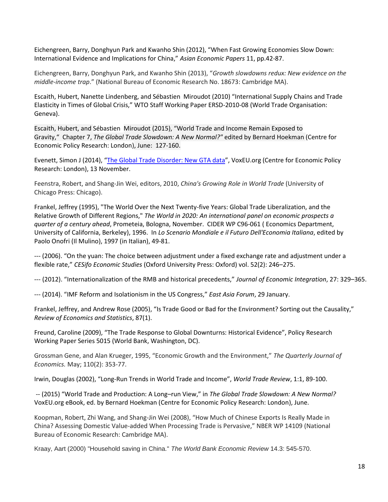Eichengreen, Barry, Donghyun Park and Kwanho Shin (2012), "When Fast Growing Economies Slow Down: International Evidence and Implications for China," *Asian Economic Papers* 11, pp.42-87.

Eichengreen, Barry, Donghyun Park, and Kwanho Shin (2013), "*Growth slowdowns redux: New evidence on the middle-income trap*." (National Bureau of Economic Research No. 18673: Cambridge MA).

Escaith, Hubert, Nanette Lindenberg, and Sébastien Miroudot (2010) "International Supply Chains and Trade Elasticity in Times of Global Crisis," WTO Staff Working Paper ERSD-2010-08 (World Trade Organisation: Geneva).

Escaith, Hubert, and Sébastien Miroudot (2015), "World Trade and Income Remain Exposed to Gravity," Chapter 7, *The Global Trade Slowdown: A New Normal?"* edited by Bernard Hoekman (Centre for Economic Policy Research: London), June: 127-160.

Evenett, Simon J (2014), "[The Global Trade Disorder: New GTA data](http://www.voxeu.org/article/global-trade-disorder-new-gta-data)", VoxEU.org (Centre for Economic Policy Research: London), 13 November.

Feenstra, Robert, and Shang-Jin Wei, editors, 2010, *China's Growing Role in World Trade* (University of Chicago Press: Chicago).

Frankel, Jeffrey (1995), "The World Over the Next Twenty-five Years: Global Trade Liberalization, and the Relative Growth of Different Regions," *The World in 2020: An international panel on economic prospects a quarter of a century ahead*, Prometeia, Bologna, November. CIDER WP C96-061 ( Economics Department, University of California, Berkeley), 1996. In *Lo Scenario Mondiale e il Futuro Dell'Economia Italiana*, edited by Paolo Onofri (Il Mulino), 1997 (in Italian), 49-81.

--- (2006). "On the yuan: The choice between adjustment under a fixed exchange rate and adjustment under a flexible rate," *CESifo Economic Studies* (Oxford University Press: Oxford) vol. 52(2): 246–275.

--- (2012). "Internationalization of the RMB and historical precedents," *Journal of Economic Integration*, 27: 329–365.

--- (2014). "[IMF Reform and Isolationism in the US Congress](http://www.eastasiaforum.org/2014/01/29/imf-reform-and-isolationism-in-the-us-congress/)," *East Asia Forum*, 29 January.

Frankel, Jeffrey, and Andrew Rose (2005), "Is Trade Good or Bad for the Environment? Sorting out the Causality," *Review of Economics and Statistics*, 87(1).

Freund, Caroline (2009), "The Trade Response to Global Downturns: Historical Evidence", Policy Research Working Paper Series 5015 (World Bank, Washington, DC).

Grossman Gene, and Alan Krueger, 1995, "Economic Growth and the Environment," *The Quarterly Journal of Economics.* May; 110(2): 353-77.

Irwin, Douglas (2002), "Long-Run Trends in World Trade and Income", *World Trade Review*, 1:1, 89-100.

-- (2015) "World Trade and Production: A Long–run View," in *The Global Trade Slowdown: A New Normal?*  VoxEU.org eBook, ed. by Bernard Hoekman (Centre for Economic Policy Research: London), June.

Koopman, Robert, Zhi Wang, and Shang-Jin Wei (2008), "How Much of Chinese Exports Is Really Made in China? Assessing Domestic Value-added When Processing Trade is Pervasive," NBER WP 14109 (National Bureau of Economic Research: Cambridge MA).

Kraay, Aart (2000) "Household saving in China." *The World Bank Economic Review* 14.3: 545-570.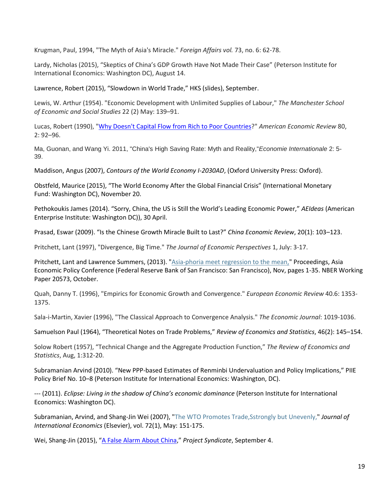Krugman, Paul, 1994, "The Myth of Asia's Miracle." *Foreign Affairs vol.* 73, no. 6: 62-78.

Lardy, Nicholas (2015), "Skeptics of China's GDP Growth Have Not Made Their Case" (Peterson Institute for International Economics: Washington DC), August 14.

Lawrence, Robert (2015), "Slowdown in World Trade," HKS (slides), September.

Lewis, W. Arthur (1954). "Economic Development with Unlimited Supplies of Labour," *The Manchester School of Economic and Social Studies* 22 (2) May: 139–91.

Lucas, Robert (1990), ["Why Doesn't Capital Flow from Rich to Poor Countries?](https://www.nyu.edu/econ/user/debraj/Courses/Readings/LucasParadox.pdf)" *American Economic Review* 80, 2: 92–96.

Ma, Guonan, and Wang Yi. 2011, "China's High Saving Rate: Myth and Reality,"*Economie Internationale* 2: 5- 39.

Maddison, Angus (2007), *Contours of the World Economy I-2030AD*, (Oxford University Press: Oxford).

Obstfeld, Maurice (2015), "The World Economy After the Global Financial Crisis" (International Monetary Fund: Washington DC), November 20.

Pethokoukis James (2014). "[Sorry, China, the US is Still the W](http://www.aei-ideas.org/2014/04/sorry-china-the-us-is-still-the-worlds-leading-economic-power)orld's Leading Economic Power," *AEIdeas* (American Enterprise Institute: Washington DC)), 30 April.

Prasad, Eswar (2009). "Is the Chinese Growth Miracle Built to Last?" *China Economic Review*, 20(1): 103–123.

Pritchett, Lant (1997), "Divergence, Big Time." *The Journal of Economic Perspectives* 1, July: 3-17.

Pritchett, Lant and Lawrence Summers, (2013). ["Asia-phoria meet regression to the mean,"](http://ideas.repec.org/a/fip/fedfpr/00007.html) Proceedings, Asia Economic Policy Conference (Federal Reserve Bank of San Francisco: San Francisco), Nov, pages 1-35. NBER Working Paper 20573, October.

Quah, Danny T. (1996), "Empirics for Economic Growth and Convergence." *European Economic Review* 40.6: 1353- 1375.

Sala-i-Martin, Xavier (1996), "The Classical Approach to Convergence Analysis." *The Economic Journal*: 1019-1036.

Samuelson Paul (1964), "Theoretical Notes on Trade Problems," *Review of Economics and Statistics*, 46(2): 145–154.

Solow Robert (1957), "Technical Change and the Aggregate Production Function," *The Review of Economics and Statistics*, Aug, 1:312-20.

Subramanian Arvind (2010). "[New PPP-based Estimates of Renminbi Undervaluation and Policy Implications](http://www.iie.com/publications/interstitial.cfm?ResearchID=1541)," PIIE Policy Brief No. 10–8 (Peterson Institute for International Economics: Washington, DC).

--- (2011). *Eclipse: Living in the shadow of China's economic dominance* (Peterson Institute for International Economics: Washington DC).

Subramanian, Arvind, and Shang-Jin Wei (2007), ["The WTO Promotes Trade,Sstrongly but Unevenly,"](http://ideas.repec.org/a/eee/inecon/v72y2007i1p151-175.html) *Journal of International Economics* (Elsevier), vol. 72(1), May: 151-175.

Wei, Shang-Jin (2015), "[A False Alarm About China](https://www.project-syndicate.org/commentary/china-stock-market-crash-false-alarm-by-shang-jin-wei-2015-09)," *Project Syndicate*, September 4.